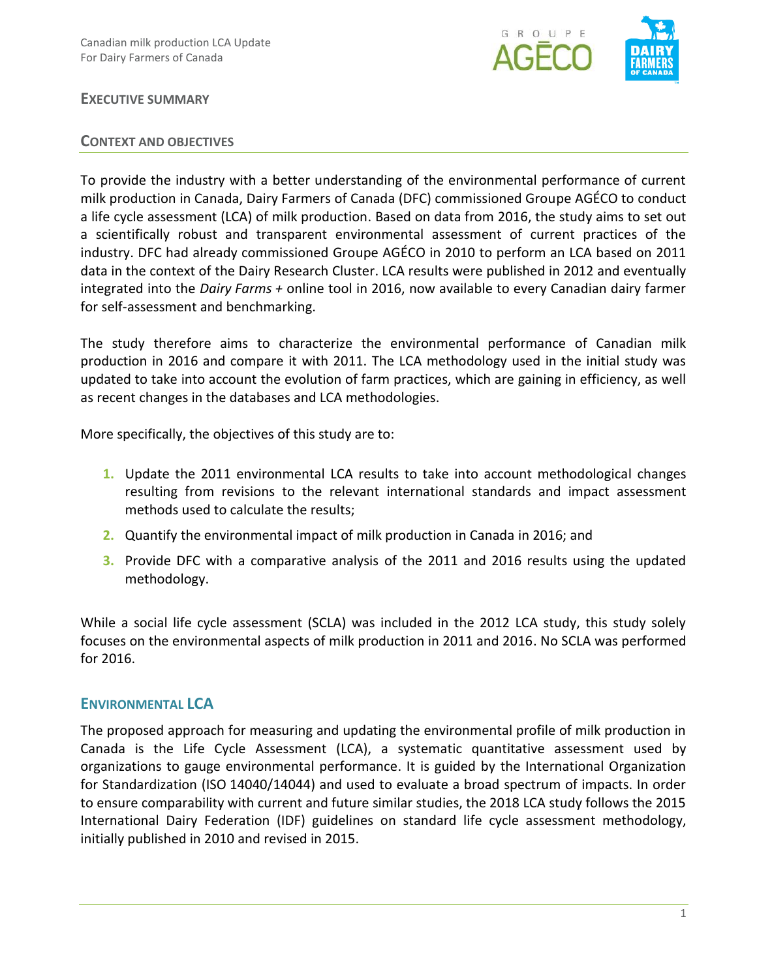

#### **EXECUTIVE SUMMARY**

#### **CONTEXT AND OBJECTIVES**

To provide the industry with a better understanding of the environmental performance of current milk production in Canada, Dairy Farmers of Canada (DFC) commissioned Groupe AGÉCO to conduct a life cycle assessment (LCA) of milk production. Based on data from 2016, the study aims to set out a scientifically robust and transparent environmental assessment of current practices of the industry. DFC had already commissioned Groupe AGÉCO in 2010 to perform an LCA based on 2011 data in the context of the Dairy Research Cluster. LCA results were published in 2012 and eventually integrated into the *Dairy Farms +* online tool in 2016, now available to every Canadian dairy farmer for self-assessment and benchmarking.

The study therefore aims to characterize the environmental performance of Canadian milk production in 2016 and compare it with 2011. The LCA methodology used in the initial study was updated to take into account the evolution of farm practices, which are gaining in efficiency, as well as recent changes in the databases and LCA methodologies.

More specifically, the objectives of this study are to:

- **1.** Update the 2011 environmental LCA results to take into account methodological changes resulting from revisions to the relevant international standards and impact assessment methods used to calculate the results;
- **2.** Quantify the environmental impact of milk production in Canada in 2016; and
- **3.** Provide DFC with a comparative analysis of the 2011 and 2016 results using the updated methodology.

While a social life cycle assessment (SCLA) was included in the 2012 LCA study, this study solely focuses on the environmental aspects of milk production in 2011 and 2016. No SCLA was performed for 2016.

## **ENVIRONMENTAL LCA**

The proposed approach for measuring and updating the environmental profile of milk production in Canada is the Life Cycle Assessment (LCA), a systematic quantitative assessment used by organizations to gauge environmental performance. It is guided by the International Organization for Standardization (ISO 14040/14044) and used to evaluate a broad spectrum of impacts. In order to ensure comparability with current and future similar studies, the 2018 LCA study follows the 2015 International Dairy Federation (IDF) guidelines on standard life cycle assessment methodology, initially published in 2010 and revised in 2015.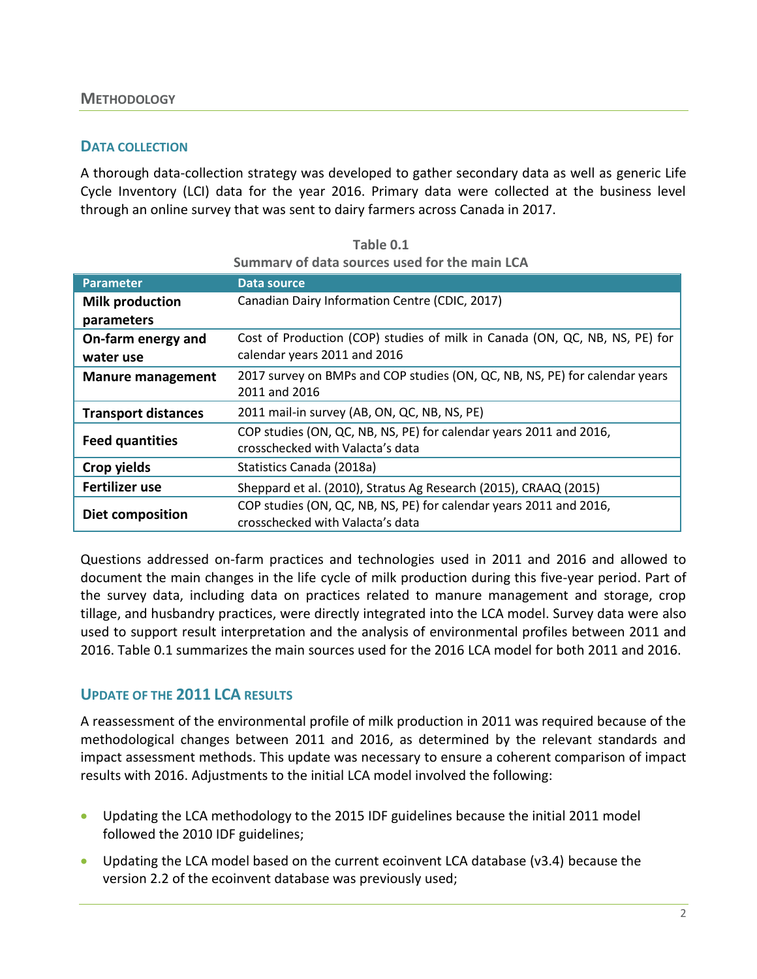#### **DATA COLLECTION**

A thorough data-collection strategy was developed to gather secondary data as well as generic Life Cycle Inventory (LCI) data for the year 2016. Primary data were collected at the business level through an online survey that was sent to dairy farmers across Canada in 2017.

| <b>Parameter</b>           | Data source                                                                 |  |
|----------------------------|-----------------------------------------------------------------------------|--|
| <b>Milk production</b>     | Canadian Dairy Information Centre (CDIC, 2017)                              |  |
| parameters                 |                                                                             |  |
| On-farm energy and         | Cost of Production (COP) studies of milk in Canada (ON, QC, NB, NS, PE) for |  |
| water use                  | calendar years 2011 and 2016                                                |  |
| <b>Manure management</b>   | 2017 survey on BMPs and COP studies (ON, QC, NB, NS, PE) for calendar years |  |
|                            | 2011 and 2016                                                               |  |
| <b>Transport distances</b> | 2011 mail-in survey (AB, ON, QC, NB, NS, PE)                                |  |
| <b>Feed quantities</b>     | COP studies (ON, QC, NB, NS, PE) for calendar years 2011 and 2016,          |  |
|                            | crosschecked with Valacta's data                                            |  |
| Crop yields                | Statistics Canada (2018a)                                                   |  |
| Fertilizer use             | Sheppard et al. (2010), Stratus Ag Research (2015), CRAAQ (2015)            |  |
| <b>Diet composition</b>    | COP studies (ON, QC, NB, NS, PE) for calendar years 2011 and 2016,          |  |
|                            | crosschecked with Valacta's data                                            |  |

**Table 0.1 Summary of data sources used for the main LCA** 

Questions addressed on-farm practices and technologies used in 2011 and 2016 and allowed to document the main changes in the life cycle of milk production during this five-year period. Part of the survey data, including data on practices related to manure management and storage, crop tillage, and husbandry practices, were directly integrated into the LCA model. Survey data were also used to support result interpretation and the analysis of environmental profiles between 2011 and 2016. Table 0.1 summarizes the main sources used for the 2016 LCA model for both 2011 and 2016.

## **UPDATE OF THE 2011 LCA RESULTS**

A reassessment of the environmental profile of milk production in 2011 was required because of the methodological changes between 2011 and 2016, as determined by the relevant standards and impact assessment methods. This update was necessary to ensure a coherent comparison of impact results with 2016. Adjustments to the initial LCA model involved the following:

- Updating the LCA methodology to the 2015 IDF guidelines because the initial 2011 model followed the 2010 IDF guidelines;
- Updating the LCA model based on the current ecoinvent LCA database (v3.4) because the version 2.2 of the ecoinvent database was previously used;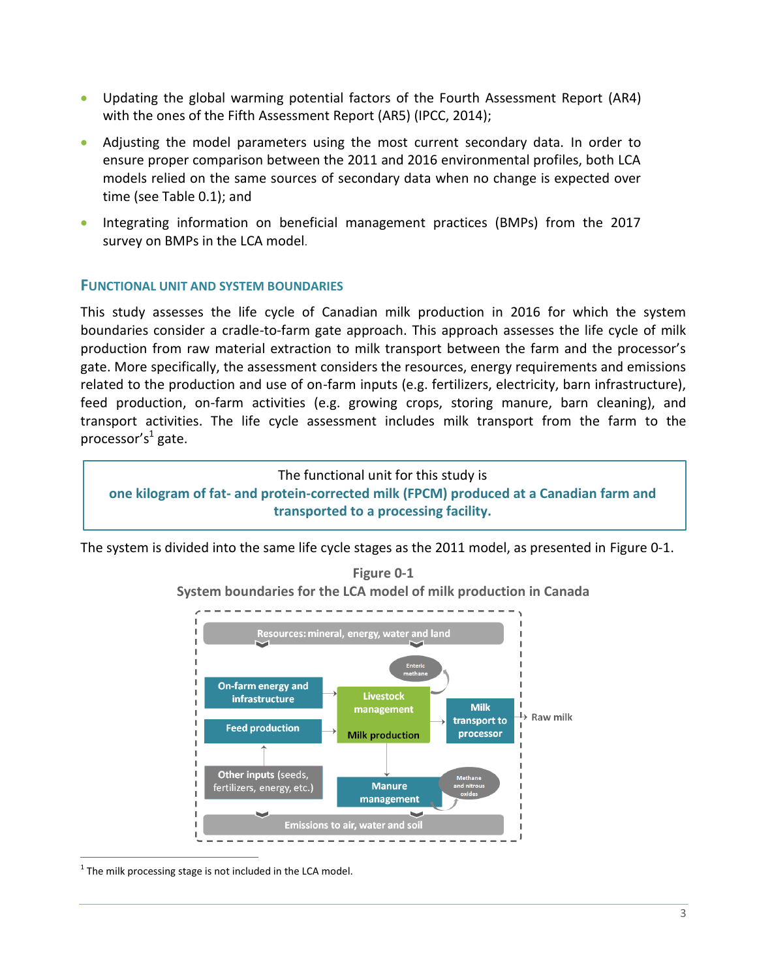- Updating the global warming potential factors of the Fourth Assessment Report (AR4) with the ones of the Fifth Assessment Report (AR5) (IPCC, 2014);
- Adjusting the model parameters using the most current secondary data. In order to ensure proper comparison between the 2011 and 2016 environmental profiles, both LCA models relied on the same sources of secondary data when no change is expected over time (see Table 0.1); and
- Integrating information on beneficial management practices (BMPs) from the 2017 survey on BMPs in the LCA model.

# **FUNCTIONAL UNIT AND SYSTEM BOUNDARIES**

This study assesses the life cycle of Canadian milk production in 2016 for which the system boundaries consider a cradle-to-farm gate approach. This approach assesses the life cycle of milk production from raw material extraction to milk transport between the farm and the processor's gate. More specifically, the assessment considers the resources, energy requirements and emissions related to the production and use of on-farm inputs (e.g. fertilizers, electricity, barn infrastructure), feed production, on-farm activities (e.g. growing crops, storing manure, barn cleaning), and transport activities. The life cycle assessment includes milk transport from the farm to the processor's<sup>1</sup> gate.

The functional unit for this study is **one kilogram of fat- and protein-corrected milk (FPCM) produced at a Canadian farm and transported to a processing facility.**

<span id="page-2-0"></span>The system is divided into the same life cycle stages as the 2011 model, as presented in [Figure](#page-2-0) 0-1.





 $1$  The milk processing stage is not included in the LCA model.

1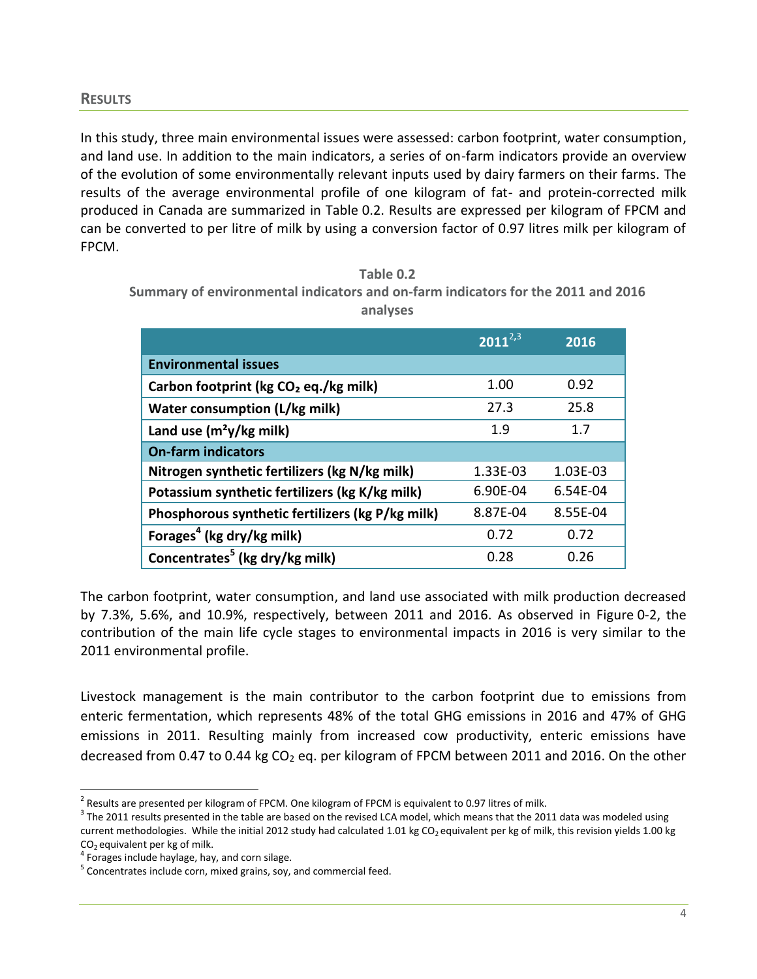In this study, three main environmental issues were assessed: carbon footprint, water consumption, and land use. In addition to the main indicators, a series of on-farm indicators provide an overview of the evolution of some environmentally relevant inputs used by dairy farmers on their farms. The results of the average environmental profile of one kilogram of fat- and protein-corrected milk produced in Canada are summarized in Table 0.2. Results are expressed per kilogram of FPCM and can be converted to per litre of milk by using a conversion factor of 0.97 litres milk per kilogram of FPCM.

**Table 0.2 Summary of environmental indicators and on-farm indicators for the 2011 and 2016 analyses**

|                                                   | $2011^{2,3}$ | 2016     |
|---------------------------------------------------|--------------|----------|
| <b>Environmental issues</b>                       |              |          |
| Carbon footprint (kg CO <sub>2</sub> eq./kg milk) | 1.00         | 0.92     |
| Water consumption (L/kg milk)                     | 27.3         | 25.8     |
| Land use $(m^2y/kg$ milk)                         | 1.9          | 1.7      |
| <b>On-farm indicators</b>                         |              |          |
| Nitrogen synthetic fertilizers (kg N/kg milk)     | 1.33E-03     | 1.03E-03 |
| Potassium synthetic fertilizers (kg K/kg milk)    | 6.90E-04     | 6.54E-04 |
| Phosphorous synthetic fertilizers (kg P/kg milk)  | 8.87E-04     | 8.55E-04 |
| Forages <sup>4</sup> (kg dry/kg milk)             | 0.72         | 0.72     |
| Concentrates <sup>5</sup> (kg dry/kg milk)        | 0.28         | 0.26     |

The carbon footprint, water consumption, and land use associated with milk production decreased by 7.3%, 5.6%, and 10.9%, respectively, between 2011 and 2016. As observed in [Figure](#page-4-0) 0-2, the contribution of the main life cycle stages to environmental impacts in 2016 is very similar to the 2011 environmental profile.

Livestock management is the main contributor to the carbon footprint due to emissions from enteric fermentation, which represents 48% of the total GHG emissions in 2016 and 47% of GHG emissions in 2011. Resulting mainly from increased cow productivity, enteric emissions have decreased from 0.47 to 0.44 kg  $CO<sub>2</sub>$  eq. per kilogram of FPCM between 2011 and 2016. On the other

 2 Results are presented per kilogram of FPCM. One kilogram of FPCM is equivalent to 0.97 litres of milk.

 $^3$  The 2011 results presented in the table are based on the revised LCA model, which means that the 2011 data was modeled using current methodologies. While the initial 2012 study had calculated 1.01 kg CO<sub>2</sub> equivalent per kg of milk, this revision yields 1.00 kg  $CO<sub>2</sub>$  equivalent per kg of milk.

<sup>&</sup>lt;sup>4</sup> Forages include haylage, hay, and corn silage.

<sup>&</sup>lt;sup>5</sup> Concentrates include corn, mixed grains, soy, and commercial feed.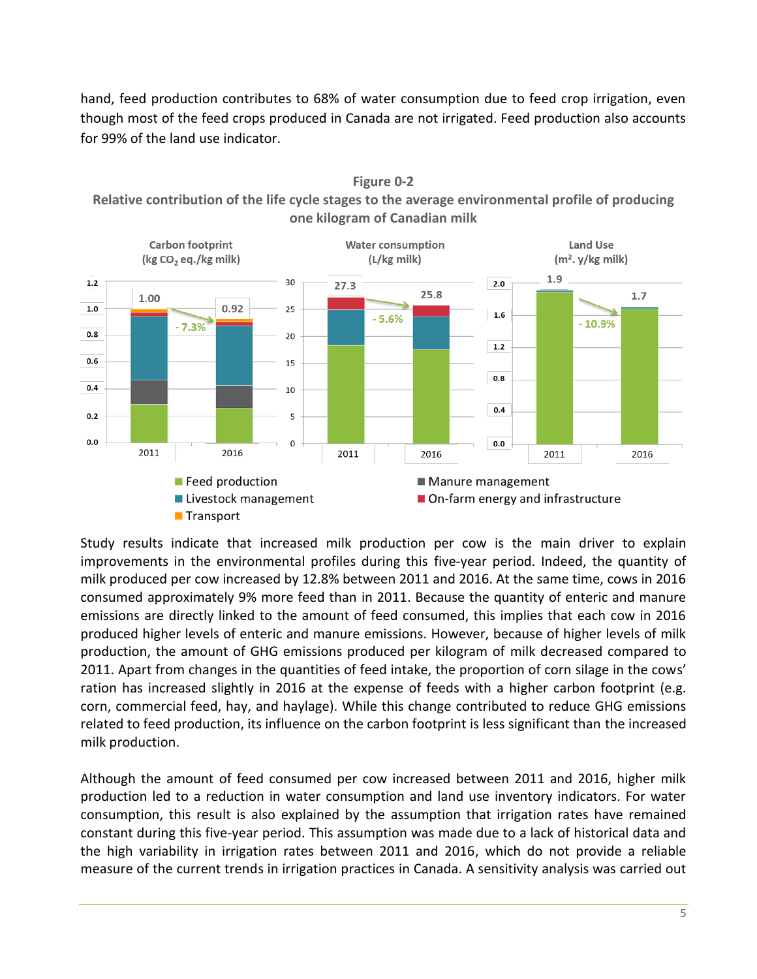hand, feed production contributes to 68% of water consumption due to feed crop irrigation, even though most of the feed crops produced in Canada are not irrigated. Feed production also accounts for 99% of the land use indicator.



**Figure 0-2**

<span id="page-4-0"></span>**Relative contribution of the life cycle stages to the average environmental profile of producing one kilogram of Canadian milk** 

Study results indicate that increased milk production per cow is the main driver to explain improvements in the environmental profiles during this five-year period. Indeed, the quantity of milk produced per cow increased by 12.8% between 2011 and 2016. At the same time, cows in 2016 consumed approximately 9% more feed than in 2011. Because the quantity of enteric and manure emissions are directly linked to the amount of feed consumed, this implies that each cow in 2016 produced higher levels of enteric and manure emissions. However, because of higher levels of milk production, the amount of GHG emissions produced per kilogram of milk decreased compared to 2011. Apart from changes in the quantities of feed intake, the proportion of corn silage in the cows' ration has increased slightly in 2016 at the expense of feeds with a higher carbon footprint (e.g. corn, commercial feed, hay, and haylage). While this change contributed to reduce GHG emissions related to feed production, its influence on the carbon footprint is less significant than the increased milk production.

Although the amount of feed consumed per cow increased between 2011 and 2016, higher milk production led to a reduction in water consumption and land use inventory indicators. For water consumption, this result is also explained by the assumption that irrigation rates have remained constant during this five-year period. This assumption was made due to a lack of historical data and the high variability in irrigation rates between 2011 and 2016, which do not provide a reliable measure of the current trends in irrigation practices in Canada. A sensitivity analysis was carried out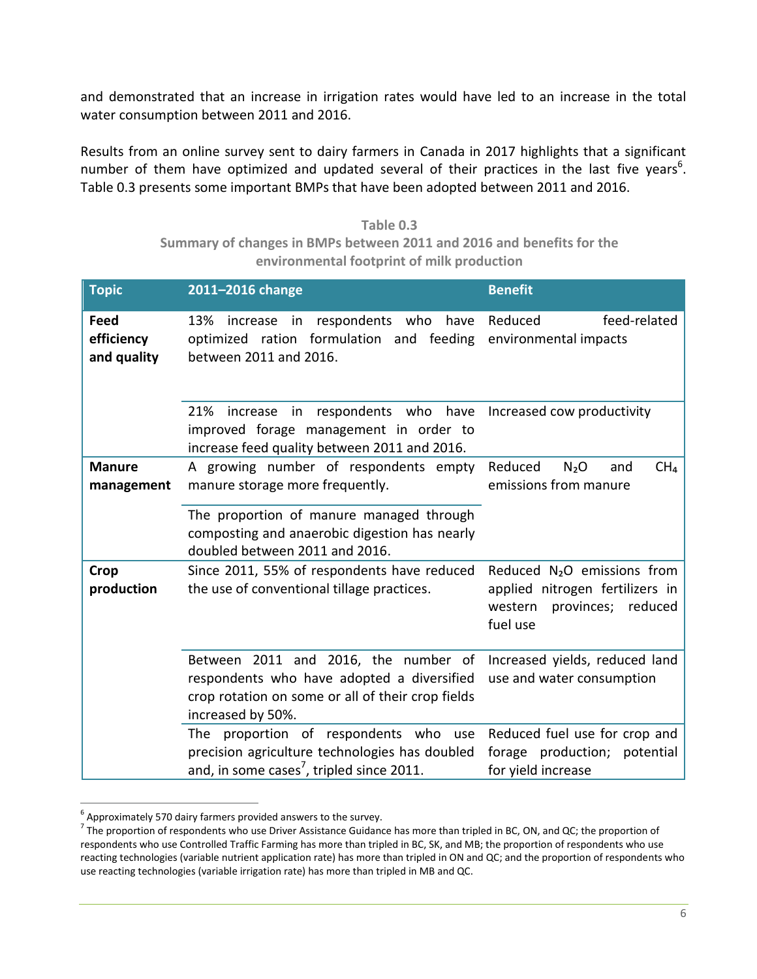and demonstrated that an increase in irrigation rates would have led to an increase in the total water consumption between 2011 and 2016.

Results from an online survey sent to dairy farmers in Canada in 2017 highlights that a significant number of them have optimized and updated several of their practices in the last five years<sup>6</sup>. Table 0.3 presents some important BMPs that have been adopted between 2011 and 2016.

**Table 0.3 Summary of changes in BMPs between 2011 and 2016 and benefits for the environmental footprint of milk production**

| <b>Topic</b>                      | 2011-2016 change                                                                                                                                             | <b>Benefit</b>                                                                                                             |
|-----------------------------------|--------------------------------------------------------------------------------------------------------------------------------------------------------------|----------------------------------------------------------------------------------------------------------------------------|
| Feed<br>efficiency<br>and quality | respondents who<br>have<br>13%<br>increase<br>in<br>optimized ration formulation and feeding environmental impacts<br>between 2011 and 2016.                 | feed-related<br>Reduced                                                                                                    |
|                                   | increase in respondents who have<br>21%<br>improved forage management in order to<br>increase feed quality between 2011 and 2016.                            | Increased cow productivity                                                                                                 |
| <b>Manure</b><br>management       | A growing number of respondents empty<br>manure storage more frequently.                                                                                     | CH <sub>4</sub><br>Reduced<br>N <sub>2</sub> O<br>and<br>emissions from manure                                             |
|                                   | The proportion of manure managed through<br>composting and anaerobic digestion has nearly<br>doubled between 2011 and 2016.                                  |                                                                                                                            |
| Crop<br>production                | Since 2011, 55% of respondents have reduced<br>the use of conventional tillage practices.                                                                    | Reduced N <sub>2</sub> O emissions from<br>applied nitrogen fertilizers in<br>provinces;<br>western<br>reduced<br>fuel use |
|                                   | Between 2011 and 2016, the number of<br>respondents who have adopted a diversified<br>crop rotation on some or all of their crop fields<br>increased by 50%. | Increased yields, reduced land<br>use and water consumption                                                                |
|                                   | The proportion of respondents who<br>use<br>precision agriculture technologies has doubled<br>and, in some cases <sup>7</sup> , tripled since 2011.          | Reduced fuel use for crop and<br>forage production; potential<br>for yield increase                                        |

 6 Approximately 570 dairy farmers provided answers to the survey.

 $^7$  The proportion of respondents who use Driver Assistance Guidance has more than tripled in BC, ON, and QC; the proportion of respondents who use Controlled Traffic Farming has more than tripled in BC, SK, and MB; the proportion of respondents who use reacting technologies (variable nutrient application rate) has more than tripled in ON and QC; and the proportion of respondents who use reacting technologies (variable irrigation rate) has more than tripled in MB and QC.